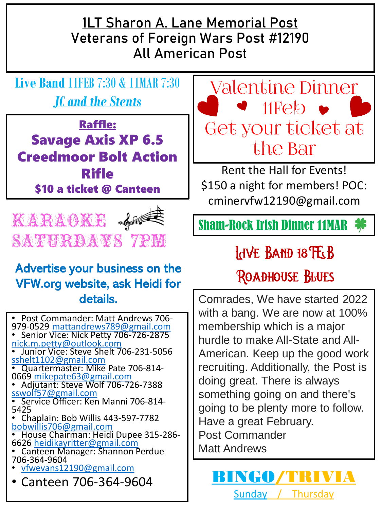**1LT Sharon A. Lane Memorial Post Veterans of Foreign Wars Post #12190 All American Post**

**Live Band** 11FEB 7:30 & 11MAR 7:30 *JC and the Stents*

Raffle: Savage Axis XP 6.5 Creedmoor Bolt Action Rifle \$10 a ticket @ Canteen



### Advertise your business on the VFW.org website, ask Heidi for details.

• Post Commander: Matt Andrews 706- 979-0529 [mattandrews789@gmail.com](mailto:mattandrews789@gmail.com) • Senior Vice: Nick Petty 706-726-2875 [nick.m.petty@outlook.com](mailto:nick.m.petty@outlook.com) • Junior Vice: Steve Shelt 706-231-5056 [sshelt1102@gmail.com](mailto:sshelt1102@gmail.com) • Quartermaster: Mike Pate 706-814- 0669 [mikepate63@gmail.com](mailto:mikepate63@gmail.com) • Adjutant: Steve Wolf 706-726-7388 [sswolf57@gmail.com](mailto:sswolf57@gmail.com) • Service Officer: Ken Manni 706-814- 5425 • Chaplain: Bob Willis 443-597-7782 [bobwillis706@gmail.com](mailto:bobwillis706@gmail.com) • House Chairman: Heidi Dupee 315-286- 6626 [heidikayritter@gmail.com](mailto:heidikayritter@gmail.com) • Canteen Manager: Shannon Perdue 706-364-9604 • [vfwevans12190@gmail.com](mailto:vfwevans12190@gmail.com)  $\begin{array}{|c|c|c|c|}\hline \text{Canteen 706-364-9604} & \text{Sunday} & \text{Thu} \\\hline \end{array}$ 



Rent the Hall for Events! \$150 a night for members! POC: cminervfw12190@gmail.com

## **INE BAND 18 FGB**

### **ROADHOUSE BLUES**

Comrades, We have started 2022 with a bang. We are now at 100% membership which is a major hurdle to make All-State and All-American. Keep up the good work recruiting. Additionally, the Post is doing great. There is always something going on and there's going to be plenty more to follow. Have a great February. Post Commander Matt Andrews

**Thursday**